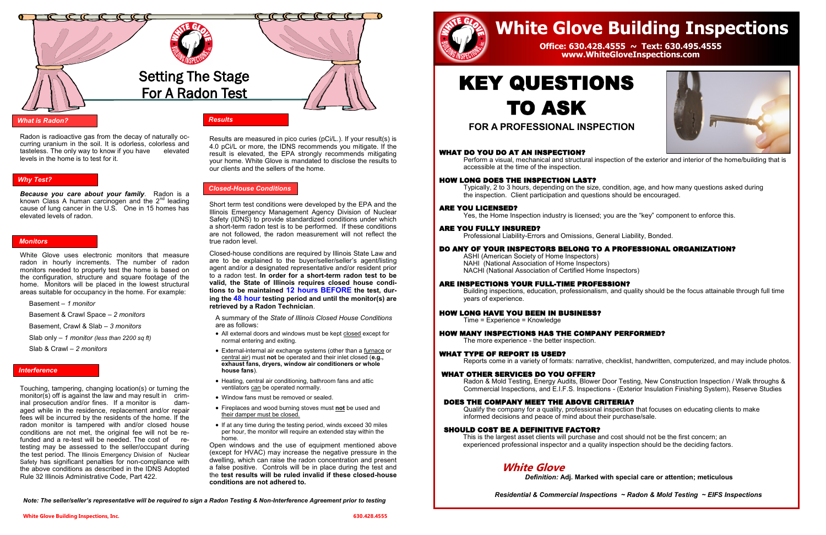### *What is Radon?*

### *Why Test?*

### *Interference*

# *Monitors*

# *Results*

Radon is radioactive gas from the decay of naturally occurring uranium in the soil. It is odorless, colorless and tasteless. The only way to know if you have elevated levels in the home is to test for it.

*Because you care about your family*. Radon is a known Class A human carcinogen and the  $2<sup>nd</sup>$  leading cause of lung cancer in the U.S. One in 15 homes has elevated levels of radon.

White Glove uses electronic monitors that measure radon in hourly increments. The number of radon monitors needed to properly test the home is based on the configuration, structure and square footage of the home. Monitors will be placed in the lowest structural areas suitable for occupancy in the home. For example:

Basement – *1 monitor*

Basement & Crawl Space – *2 monitors*

Basement, Crawl & Slab – *3 monitors*

Slab only – *1 monitor (less than 2200 sq ft)*

Slab & Crawl – *2 monitors*

Touching, tampering, changing location(s) or turning the monitor(s) off is against the law and may result in criminal prosecution and/or fines. If a monitor is damaged while in the residence, replacement and/or repair fees will be incurred by the residents of the home. If the radon monitor is tampered with and/or closed house conditions are not met, the original fee will not be refunded and a re-test will be needed. The cost of retesting may be assessed to the seller/occupant during the test period. The Illinois Emergency Division of Nuclear Safety has significant penalties for non-compliance with the above conditions as described in the IDNS Adopted Rule 32 Illinois Administrative Code, Part 422.

Results are measured in pico curies (pCi/L.). If your result(s) is 4.0 pCi/L or more, the IDNS recommends you mitigate. If the result is elevated, the EPA strongly recommends mitigating your home. White Glove is mandated to disclose the results to our clients and the sellers of the home.

Short term test conditions were developed by the EPA and the Illinois Emergency Management Agency Division of Nuclear Safety (IDNS) to provide standardized conditions under which a short-term radon test is to be performed. If these conditions are not followed, the radon measurement will not reflect the true radon level.

Closed-house conditions are required by Illinois State Law and are to be explained to the buyer/seller/seller's agent/listing agent and/or a designated representative and/or resident prior to a radon test. **In order for a short-term radon test to be valid, the State of Illinois requires closed house conditions to be maintained 12 hours BEFORE the test, during the 48 hour testing period and until the monitor(s) are retrieved by a Radon Technician**.

A summary of the *State of Illinois Closed House Conditions* are as follows:

- All external doors and windows must be kept closed except for normal entering and exiting.
- External-internal air exchange systems (other than a furnace or central air) must **not** be operated and their inlet closed (**e.g., exhaust fans, dryers, window air conditioners or whole house fans**).
- Heating, central air conditioning, bathroom fans and attic ventilators can be operated normally.
- Window fans must be removed or sealed.
- Fireplaces and wood burning stoves must **not** be used and their damper must be closed.
- If at any time during the testing period, winds exceed 30 miles per hour, the monitor will require an extended stay within the home.

Open windows and the use of equipment mentioned above (except for HVAC) may increase the negative pressure in the dwelling, which can raise the radon concentration and present a false positive. Controls will be in place during the test and the **test results will be ruled invalid if these closed-house conditions are not adhered to.**



### *Closed-House Conditions*

*Note: The seller/seller's representative will be required to sign a Radon Testing & Non-Interference Agreement prior to testing*



**FOR A PROFESSIONAL INSPECTION**

# WHAT DO YOU DO AT AN INSPECTION?

Perform a visual, mechanical and structural inspection of the exterior and interior of the home/building that is

accessible at the time of the inspection.

### HOW LONG DOES THE INSPECTION LAST?

Typically, 2 to 3 hours, depending on the size, condition, age, and how many questions asked during the inspection. Client participation and questions should be encouraged.

# ARE YOU LICENSED?

Yes, the Home Inspection industry is licensed; you are the "key" component to enforce this.

# ARE YOU FULLY INSURED?

Professional Liability-Errors and Omissions, General Liability, Bonded.

# DO ANY OF YOUR INSPECTORS BELONG TO A PROFESSIONAL ORGANIZATION?

ASHI (American Society of Home Inspectors) NAHI (National Association of Home Inspectors) NACHI (National Association of Certified Home Inspectors)

# ARE INSPECTIONS YOUR FULL-TIME PROFESSION?

Building inspections, education, professionalism, and quality should be the focus attainable through full time years of experience.

# HOW LONG HAVE YOU BEEN IN BUSINESS?

Time = Experience = Knowledge

HOW MANY INSPECTIONS HAS THE COMPANY PERFORMED?

# KEY QUESTIONS TO ASK

The more experience - the better inspection.

# WHAT TYPE OF REPORT IS USED?

Reports come in a variety of formats: narrative, checklist, handwritten, computerized, and may include photos.

### WHAT OTHER SERVICES DO YOU OFFER?

Radon & Mold Testing, Energy Audits, Blower Door Testing, New Construction Inspection / Walk throughs & Commercial Inspections, and E.I.F.S. Inspections - (Exterior Insulation Finishing System), Reserve Studies

### DOES THE COMPANY MEET THE ABOVE CRITERIA?

Qualify the company for a quality, professional inspection that focuses on educating clients to make informed decisions and peace of mind about their purchase/sale.

## SHOULD COST BE A DEFINITIVE FACTOR?

This is the largest asset clients will purchase and cost should not be the first concern; an experienced professional inspector and a quality inspection should be the deciding factors.

# **White Glove**

# *Definition:* **Adj. Marked with special care or attention; meticulous**

*Residential & Commercial Inspections ~ Radon & Mold Testing ~ EIFS Inspections* 

# **White Glove Building Inspections**

# **Office: 630.428.4555 ~ Text: 630.495.4555 www.WhiteGloveInspections.com**